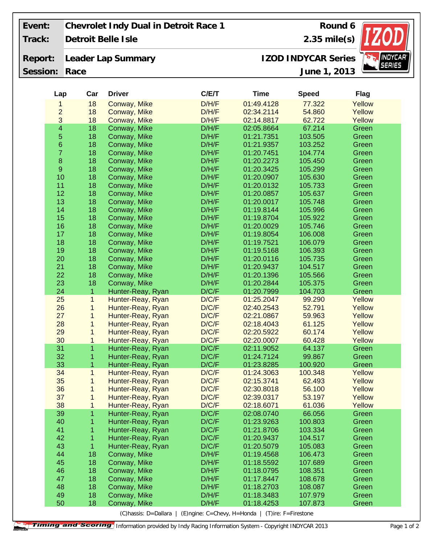| Event:   |                         |      |                | Chevrolet Indy Dual in Detroit Race 1 |                | Round 6                    |                    |                |
|----------|-------------------------|------|----------------|---------------------------------------|----------------|----------------------------|--------------------|----------------|
| Track:   |                         |      |                | Detroit Belle Isle                    | $2.35$ mile(s) |                            |                    |                |
| Report:  |                         |      |                | Leader Lap Summary                    |                | <b>IZOD INDYCAR Series</b> | <b>INDYCAR®</b>    |                |
| Session: |                         | Race |                |                                       |                | June 1, 2013               | <i>SERIES</i>      |                |
|          | Lap                     |      | Car            | <b>Driver</b>                         | C/E/T          | <b>Time</b>                | <b>Speed</b>       | <b>Flag</b>    |
|          | 1                       |      | 18             | Conway, Mike                          | D/H/F          | 01:49.4128                 | 77,322             | Yellow         |
|          | $\overline{c}$          |      | 18             | Conway, Mike                          | D/H/F          | 02:34.2114                 | 54.860             | Yellow         |
|          | 3                       |      | 18             | Conway, Mike                          | D/H/F          | 02:14.8817                 | 62.722             | Yellow         |
|          | $\overline{\mathbf{4}}$ |      | 18             | Conway, Mike                          | D/H/F          | 02:05.8664                 | 67.214             | Green          |
|          | 5                       |      | 18             | Conway, Mike                          | D/H/F          | 01:21.7351                 | 103.505            | Green          |
|          | $\overline{6}$          |      | 18             | Conway, Mike                          | D/H/F          | 01:21.9357                 | 103.252            | Green          |
|          | $\overline{7}$          |      | 18             | Conway, Mike                          | D/H/F          | 01:20.7451                 | 104.774            | Green          |
|          | 8                       |      | 18             | Conway, Mike                          | D/H/F          | 01:20.2273                 | 105.450            | Green          |
|          | $\mathsf g$             |      | 18             | Conway, Mike                          | D/H/F          | 01:20.3425                 | 105.299            | Green          |
|          | 10                      |      | 18             | Conway, Mike                          | D/H/F          | 01:20.0907                 | 105.630            | Green          |
|          | 11                      |      | 18             | Conway, Mike                          | D/H/F          | 01:20.0132                 | 105.733            | Green          |
|          | 12                      |      | 18             | Conway, Mike                          | D/H/F          | 01:20.0857                 | 105.637            | Green          |
|          | 13                      |      | 18             | Conway, Mike                          | D/H/F          | 01:20.0017                 | 105.748            | Green          |
|          | 14                      |      | 18             | Conway, Mike                          | D/H/F          | 01:19.8144                 | 105.996            | Green          |
|          | 15                      |      | 18             | Conway, Mike                          | D/H/F          | 01:19.8704                 | 105.922            | Green          |
|          | 16                      |      | 18             | Conway, Mike                          | D/H/F          | 01:20.0029                 | 105.746            | Green          |
|          | 17                      |      | 18             | Conway, Mike                          | D/H/F          | 01:19.8054                 | 106.008            | Green          |
|          | 18                      |      | 18             | Conway, Mike                          | D/H/F          | 01:19.7521                 | 106.079            | Green          |
|          | 19                      |      | 18             | Conway, Mike                          | D/H/F          | 01:19.5168                 | 106.393            | Green          |
|          | 20                      |      | 18             | Conway, Mike                          | D/H/F          | 01:20.0116                 | 105.735            | Green          |
|          | 21                      |      | 18             | Conway, Mike                          | D/H/F          | 01:20.9437                 | 104.517            | Green          |
|          | 22                      |      | 18             | Conway, Mike                          | D/H/F          | 01:20.1396                 | 105.566            | Green          |
|          | 23                      |      | 18             | Conway, Mike                          | D/H/F          | 01:20.2844                 | 105.375            | Green          |
|          | 24                      |      | $\mathbf{1}$   | Hunter-Reay, Ryan                     | D/C/F          | 01:20.7999                 | 104.703            | Green          |
|          | 25                      |      | 1              | Hunter-Reay, Ryan                     | D/C/F          | 01:25.2047                 | 99.290             | Yellow         |
|          | 26                      |      | 1              | Hunter-Reay, Ryan                     | D/C/F          | 02:40.2543                 | 52.791             | Yellow         |
|          | 27                      |      | 1              | Hunter-Reay, Ryan                     | D/C/F          | 02:21.0867                 | 59.963             | Yellow         |
|          | 28                      |      | 1              | Hunter-Reay, Ryan                     | D/C/F          | 02:18.4043                 | 61.125             | Yellow         |
|          | 29                      |      | 1              | Hunter-Reay, Ryan                     | D/C/F          | 02:20.5922                 | 60.174             | Yellow         |
|          | 30                      |      | 1              | Hunter-Reay, Ryan                     | D/C/F          | 02:20.0007                 | 60.428             | Yellow         |
|          | 31                      |      | 1              | Hunter-Reay, Ryan                     | D/C/F          | 02:11.9052                 | 64.137             | Green          |
|          | 32                      |      | 1              | Hunter-Reay, Ryan                     | D/C/F          | 01:24.7124                 | 99.867             | Green          |
|          | 33                      |      | 1              | Hunter-Reay, Ryan                     | D/C/F          | 01:23.8285                 | 100.920            | Green          |
|          | 34                      |      | $\mathbf{1}$   | Hunter-Reay, Ryan                     | D/C/F          | 01:24.3063                 | 100.348            | Yellow         |
|          | 35                      |      | $\mathbf 1$    | Hunter-Reay, Ryan                     | D/C/F          | 02:15.3741                 | 62.493             | Yellow         |
|          | 36                      |      | 1              | Hunter-Reay, Ryan                     | D/C/F          | 02:30.8018                 | 56.100             | Yellow         |
|          | 37                      |      | 1              | Hunter-Reay, Ryan                     | D/C/F          | 02:39.0317                 | 53.197             | Yellow         |
|          | 38                      |      | $\mathbf 1$    | Hunter-Reay, Ryan                     | D/C/F          | 02:18.6071                 | 61.036             | Yellow         |
|          | 39                      |      | $\overline{1}$ | Hunter-Reay, Ryan                     | D/C/F          | 02:08.0740                 | 66.056             | Green          |
|          | 40<br>41                |      | 1<br>1         | Hunter-Reay, Ryan                     | D/C/F<br>D/C/F | 01:23.9263                 | 100.803            | Green          |
|          | 42                      |      | 1              | Hunter-Reay, Ryan                     | D/C/F          | 01:21.8706                 | 103.334<br>104.517 | Green          |
|          | 43                      |      | 1              | Hunter-Reay, Ryan                     | D/C/F          | 01:20.9437                 | 105.083            | Green<br>Green |
|          | 44                      |      | 18             | Hunter-Reay, Ryan                     | D/H/F          | 01:20.5079<br>01:19.4568   | 106.473            | Green          |
|          | 45                      |      | 18             | Conway, Mike<br>Conway, Mike          | D/H/F          | 01:18.5592                 | 107.689            | Green          |
|          | 46                      |      | 18             | Conway, Mike                          | D/H/F          | 01:18.0795                 | 108.351            | Green          |
|          | 47                      |      | 18             | Conway, Mike                          | D/H/F          | 01:17.8447                 | 108.678            | Green          |
|          | 48                      |      | 18             | Conway, Mike                          | D/H/F          | 01:18.2703                 | 108.087            | Green          |
|          | 49                      |      | 18             | Conway, Mike                          | D/H/F          | 01:18.3483                 | 107.979            | Green          |
|          |                         |      |                |                                       |                |                            |                    |                |
|          | 50                      |      | 18             | Conway, Mike                          | D/H/F          | 01:18.4253                 | 107.873            | Green          |